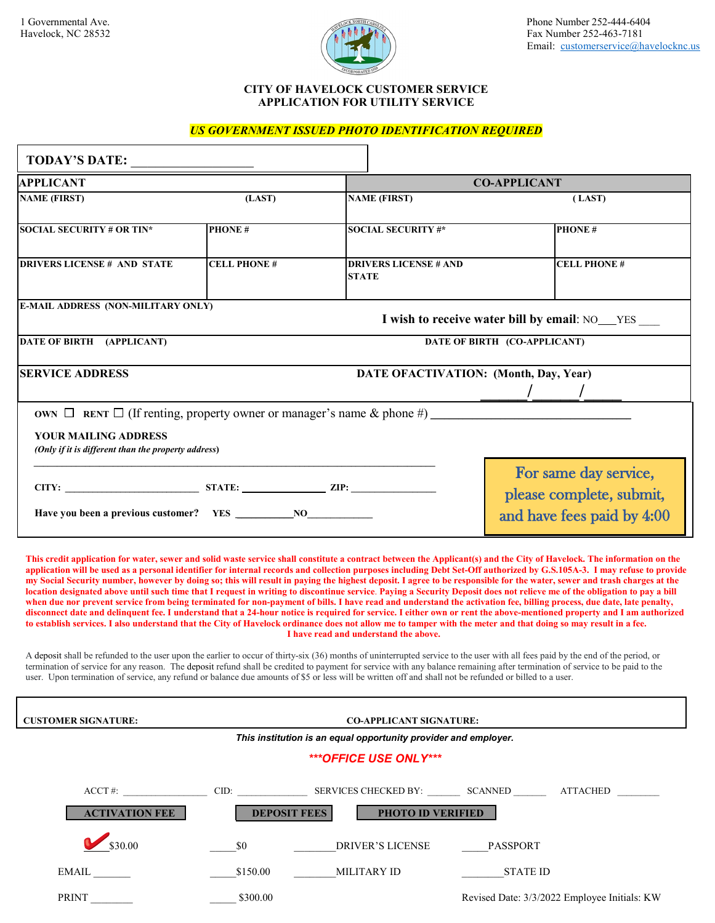

## **CITY OF HAVELOCK CUSTOMER SERVICE APPLICATION FOR UTILITY SERVICE**

## *US GOVERNMENT ISSUED PHOTO IDENTIFICATION REQUIRED*

| <b>TODAY'S DATE:</b>                                                                                                                                                                                                                                                                                                                                                                                                                                                                                                                                                                                                                                                                                                                                                                                                                                                                                                                                                                                                                                                                                                                                                                                                                                                                                                                                                                                                                                                                                                                                                                                                                                                                                                                                                                                |                     |                                                                 |                                                                                 |  |  |  |  |
|-----------------------------------------------------------------------------------------------------------------------------------------------------------------------------------------------------------------------------------------------------------------------------------------------------------------------------------------------------------------------------------------------------------------------------------------------------------------------------------------------------------------------------------------------------------------------------------------------------------------------------------------------------------------------------------------------------------------------------------------------------------------------------------------------------------------------------------------------------------------------------------------------------------------------------------------------------------------------------------------------------------------------------------------------------------------------------------------------------------------------------------------------------------------------------------------------------------------------------------------------------------------------------------------------------------------------------------------------------------------------------------------------------------------------------------------------------------------------------------------------------------------------------------------------------------------------------------------------------------------------------------------------------------------------------------------------------------------------------------------------------------------------------------------------------|---------------------|-----------------------------------------------------------------|---------------------------------------------------------------------------------|--|--|--|--|
| <b>APPLICANT</b>                                                                                                                                                                                                                                                                                                                                                                                                                                                                                                                                                                                                                                                                                                                                                                                                                                                                                                                                                                                                                                                                                                                                                                                                                                                                                                                                                                                                                                                                                                                                                                                                                                                                                                                                                                                    |                     |                                                                 | <b>CO-APPLICANT</b>                                                             |  |  |  |  |
| <b>NAME (FIRST)</b>                                                                                                                                                                                                                                                                                                                                                                                                                                                                                                                                                                                                                                                                                                                                                                                                                                                                                                                                                                                                                                                                                                                                                                                                                                                                                                                                                                                                                                                                                                                                                                                                                                                                                                                                                                                 | (LAST)              | <b>NAME (FIRST)</b>                                             | (LAST)                                                                          |  |  |  |  |
| <b>SOCIAL SECURITY # OR TIN*</b>                                                                                                                                                                                                                                                                                                                                                                                                                                                                                                                                                                                                                                                                                                                                                                                                                                                                                                                                                                                                                                                                                                                                                                                                                                                                                                                                                                                                                                                                                                                                                                                                                                                                                                                                                                    | <b>PHONE#</b>       | <b>SOCIAL SECURITY #*</b>                                       | <b>PHONE#</b>                                                                   |  |  |  |  |
| <b>DRIVERS LICENSE # AND STATE</b>                                                                                                                                                                                                                                                                                                                                                                                                                                                                                                                                                                                                                                                                                                                                                                                                                                                                                                                                                                                                                                                                                                                                                                                                                                                                                                                                                                                                                                                                                                                                                                                                                                                                                                                                                                  | <b>CELL PHONE#</b>  | <b>DRIVERS LICENSE # AND</b><br><b>STATE</b>                    | <b>CELL PHONE#</b>                                                              |  |  |  |  |
| <b>E-MAIL ADDRESS (NON-MILITARY ONLY)</b>                                                                                                                                                                                                                                                                                                                                                                                                                                                                                                                                                                                                                                                                                                                                                                                                                                                                                                                                                                                                                                                                                                                                                                                                                                                                                                                                                                                                                                                                                                                                                                                                                                                                                                                                                           |                     |                                                                 |                                                                                 |  |  |  |  |
|                                                                                                                                                                                                                                                                                                                                                                                                                                                                                                                                                                                                                                                                                                                                                                                                                                                                                                                                                                                                                                                                                                                                                                                                                                                                                                                                                                                                                                                                                                                                                                                                                                                                                                                                                                                                     |                     |                                                                 | I wish to receive water bill by email: NO_YES ___                               |  |  |  |  |
| DATE OF BIRTH (APPLICANT)                                                                                                                                                                                                                                                                                                                                                                                                                                                                                                                                                                                                                                                                                                                                                                                                                                                                                                                                                                                                                                                                                                                                                                                                                                                                                                                                                                                                                                                                                                                                                                                                                                                                                                                                                                           |                     |                                                                 | DATE OF BIRTH (CO-APPLICANT)                                                    |  |  |  |  |
|                                                                                                                                                                                                                                                                                                                                                                                                                                                                                                                                                                                                                                                                                                                                                                                                                                                                                                                                                                                                                                                                                                                                                                                                                                                                                                                                                                                                                                                                                                                                                                                                                                                                                                                                                                                                     |                     |                                                                 |                                                                                 |  |  |  |  |
| <b>SERVICE ADDRESS</b><br>DATE OFACTIVATION: (Month, Day, Year)                                                                                                                                                                                                                                                                                                                                                                                                                                                                                                                                                                                                                                                                                                                                                                                                                                                                                                                                                                                                                                                                                                                                                                                                                                                                                                                                                                                                                                                                                                                                                                                                                                                                                                                                     |                     |                                                                 |                                                                                 |  |  |  |  |
|                                                                                                                                                                                                                                                                                                                                                                                                                                                                                                                                                                                                                                                                                                                                                                                                                                                                                                                                                                                                                                                                                                                                                                                                                                                                                                                                                                                                                                                                                                                                                                                                                                                                                                                                                                                                     |                     |                                                                 | OWN $\Box$ RENT $\Box$ (If renting, property owner or manager's name & phone #) |  |  |  |  |
| <b>YOUR MAILING ADDRESS</b>                                                                                                                                                                                                                                                                                                                                                                                                                                                                                                                                                                                                                                                                                                                                                                                                                                                                                                                                                                                                                                                                                                                                                                                                                                                                                                                                                                                                                                                                                                                                                                                                                                                                                                                                                                         |                     |                                                                 |                                                                                 |  |  |  |  |
| (Only if it is different than the property address)                                                                                                                                                                                                                                                                                                                                                                                                                                                                                                                                                                                                                                                                                                                                                                                                                                                                                                                                                                                                                                                                                                                                                                                                                                                                                                                                                                                                                                                                                                                                                                                                                                                                                                                                                 |                     |                                                                 |                                                                                 |  |  |  |  |
|                                                                                                                                                                                                                                                                                                                                                                                                                                                                                                                                                                                                                                                                                                                                                                                                                                                                                                                                                                                                                                                                                                                                                                                                                                                                                                                                                                                                                                                                                                                                                                                                                                                                                                                                                                                                     |                     |                                                                 | For same day service,                                                           |  |  |  |  |
|                                                                                                                                                                                                                                                                                                                                                                                                                                                                                                                                                                                                                                                                                                                                                                                                                                                                                                                                                                                                                                                                                                                                                                                                                                                                                                                                                                                                                                                                                                                                                                                                                                                                                                                                                                                                     |                     |                                                                 |                                                                                 |  |  |  |  |
|                                                                                                                                                                                                                                                                                                                                                                                                                                                                                                                                                                                                                                                                                                                                                                                                                                                                                                                                                                                                                                                                                                                                                                                                                                                                                                                                                                                                                                                                                                                                                                                                                                                                                                                                                                                                     |                     |                                                                 | please complete, submit,<br>and have fees paid by 4:00                          |  |  |  |  |
|                                                                                                                                                                                                                                                                                                                                                                                                                                                                                                                                                                                                                                                                                                                                                                                                                                                                                                                                                                                                                                                                                                                                                                                                                                                                                                                                                                                                                                                                                                                                                                                                                                                                                                                                                                                                     |                     |                                                                 |                                                                                 |  |  |  |  |
| This credit application for water, sewer and solid waste service shall constitute a contract between the Applicant(s) and the City of Havelock. The information on the<br>application will be used as a personal identifier for internal records and collection purposes including Debt Set-Off authorized by G.S.105A-3. I may refuse to provide<br>my Social Security number, however by doing so; this will result in paying the highest deposit. I agree to be responsible for the water, sewer and trash charges at the<br>location designated above until such time that I request in writing to discontinue service. Paying a Security Deposit does not relieve me of the obligation to pay a bill<br>when due nor prevent service from being terminated for non-payment of bills. I have read and understand the activation fee, billing process, due date, late penalty,<br>disconnect date and delinquent fee. I understand that a 24-hour notice is required for service. I either own or rent the above-mentioned property and I am authorized<br>to establish services. I also understand that the City of Havelock ordinance does not allow me to tamper with the meter and that doing so may result in a fee.<br>I have read and understand the above.<br>A deposit shall be refunded to the user upon the earlier to occur of thirty-six (36) months of uninterrupted service to the user with all fees paid by the end of the period, or<br>termination of service for any reason. The deposit refund shall be credited to payment for service with any balance remaining after termination of service to be paid to the<br>user. Upon termination of service, any refund or balance due amounts of \$5 or less will be written off and shall not be refunded or billed to a user. |                     |                                                                 |                                                                                 |  |  |  |  |
| <b>CUSTOMER SIGNATURE:</b>                                                                                                                                                                                                                                                                                                                                                                                                                                                                                                                                                                                                                                                                                                                                                                                                                                                                                                                                                                                                                                                                                                                                                                                                                                                                                                                                                                                                                                                                                                                                                                                                                                                                                                                                                                          |                     | <b>CO-APPLICANT SIGNATURE:</b>                                  |                                                                                 |  |  |  |  |
|                                                                                                                                                                                                                                                                                                                                                                                                                                                                                                                                                                                                                                                                                                                                                                                                                                                                                                                                                                                                                                                                                                                                                                                                                                                                                                                                                                                                                                                                                                                                                                                                                                                                                                                                                                                                     |                     | This institution is an equal opportunity provider and employer. |                                                                                 |  |  |  |  |
|                                                                                                                                                                                                                                                                                                                                                                                                                                                                                                                                                                                                                                                                                                                                                                                                                                                                                                                                                                                                                                                                                                                                                                                                                                                                                                                                                                                                                                                                                                                                                                                                                                                                                                                                                                                                     |                     | ***OFFICE USE ONLY***                                           |                                                                                 |  |  |  |  |
| $ACCT \#$                                                                                                                                                                                                                                                                                                                                                                                                                                                                                                                                                                                                                                                                                                                                                                                                                                                                                                                                                                                                                                                                                                                                                                                                                                                                                                                                                                                                                                                                                                                                                                                                                                                                                                                                                                                           |                     |                                                                 | <b>ATTACHED</b>                                                                 |  |  |  |  |
| <b>ACTIVATION FEE</b>                                                                                                                                                                                                                                                                                                                                                                                                                                                                                                                                                                                                                                                                                                                                                                                                                                                                                                                                                                                                                                                                                                                                                                                                                                                                                                                                                                                                                                                                                                                                                                                                                                                                                                                                                                               | <b>DEPOSIT FEES</b> | PHOTO ID VERIFIED                                               |                                                                                 |  |  |  |  |
| \$30.00                                                                                                                                                                                                                                                                                                                                                                                                                                                                                                                                                                                                                                                                                                                                                                                                                                                                                                                                                                                                                                                                                                                                                                                                                                                                                                                                                                                                                                                                                                                                                                                                                                                                                                                                                                                             | \$0                 | <b>DRIVER'S LICENSE</b>                                         | PASSPORT                                                                        |  |  |  |  |
| EMAIL                                                                                                                                                                                                                                                                                                                                                                                                                                                                                                                                                                                                                                                                                                                                                                                                                                                                                                                                                                                                                                                                                                                                                                                                                                                                                                                                                                                                                                                                                                                                                                                                                                                                                                                                                                                               | \$150.00            | <b>MILITARY ID</b>                                              | <b>STATE ID</b>                                                                 |  |  |  |  |
| <b>PRINT</b>                                                                                                                                                                                                                                                                                                                                                                                                                                                                                                                                                                                                                                                                                                                                                                                                                                                                                                                                                                                                                                                                                                                                                                                                                                                                                                                                                                                                                                                                                                                                                                                                                                                                                                                                                                                        | \$300.00            |                                                                 | Revised Date: 3/3/2022 Employee Initials: KW                                    |  |  |  |  |